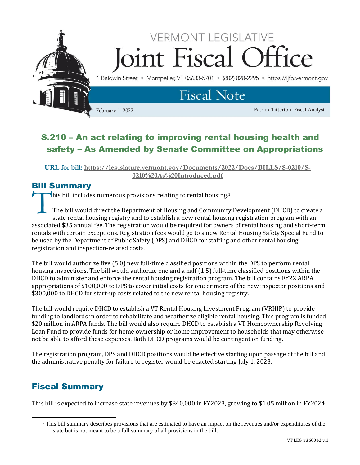

# S.210 – An act relating to improving rental housing health and safety – As Amended by Senate Committee on Appropriations

**URL for bill: [https://legislature.vermont.gov/Documents/2022/Docs/BILLS/S-0210/S-](https://legislature.vermont.gov/Documents/2022/Docs/BILLS/S-0210/S-0210%20As%20Introduced.pdf)[0210%20As%20Introduced.pdf](https://legislature.vermont.gov/Documents/2022/Docs/BILLS/S-0210/S-0210%20As%20Introduced.pdf)**

### Bill Summary

**this bill includes numerous provisions relating to rental housing.**<sup>1</sup>

The bill would direct the Department of Housing and Community Development (DHCD) to create a state rental housing registry and to establish a new rental housing registration program with an associated \$35 annual fee. The registration would be required for owners of rental housing and short-term rentals with certain exceptions. Registration fees would go to a new Rental Housing Safety Special Fund to be used by the Department of Public Safety (DPS) and DHCD for staffing and other rental housing registration and inspection-related costs. T<br>T

The bill would authorize five (5.0) new full-time classified positions within the DPS to perform rental housing inspections. The bill would authorize one and a half (1.5) full-time classified positions within the DHCD to administer and enforce the rental housing registration program. The bill contains FY22 ARPA appropriations of \$100,000 to DPS to cover initial costs for one or more of the new inspector positions and \$300,000 to DHCD for start-up costs related to the new rental housing registry.

The bill would require DHCD to establish a VT Rental Housing Investment Program (VRHIP) to provide funding to landlords in order to rehabilitate and weatherize eligible rental housing. This program is funded \$20 million in ARPA funds. The bill would also require DHCD to establish a VT Homeownership Revolving Loan Fund to provide funds for home ownership or home improvement to households that may otherwise not be able to afford these expenses. Both DHCD programs would be contingent on funding.

The registration program, DPS and DHCD positions would be effective starting upon passage of the bill and the administrative penalty for failure to register would be enacted starting July 1, 2023.

# Fiscal Summary

This bill is expected to increase state revenues by \$840,000 in FY2023, growing to \$1.05 million in FY2024

<sup>&</sup>lt;sup>1</sup> This bill summary describes provisions that are estimated to have an impact on the revenues and/or expenditures of the state but is not meant to be a full summary of all provisions in the bill.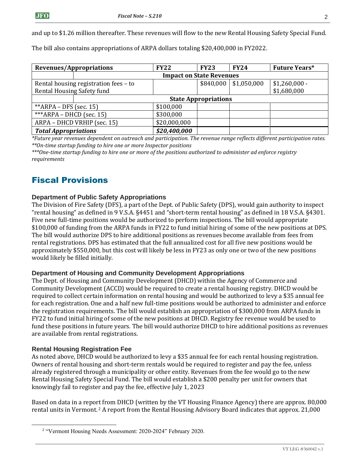and up to \$1.26 million thereafter. These revenues will flow to the new Rental Housing Safety Special Fund.

The bill also contains appropriations of ARPA dollars totaling \$20,400,000 in FY2022.

| Revenues/Appropriations               |                                 | <b>FY22</b>  | <b>FY23</b> | <b>FY24</b>                | <b>Future Years*</b> |
|---------------------------------------|---------------------------------|--------------|-------------|----------------------------|----------------------|
|                                       | <b>Impact on State Revenues</b> |              |             |                            |                      |
| Rental housing registration fees - to |                                 |              |             | $$840,000 \mid $1,050,000$ | $$1,260,000$ -       |
| <b>Rental Housing Safety fund</b>     |                                 |              |             |                            | \$1,680,000          |
|                                       | <b>State Appropriations</b>     |              |             |                            |                      |
| ** $ARPA$ – DFS (sec. 15)             |                                 | \$100,000    |             |                            |                      |
| *** $ARPA - DHCD$ (sec. 15)           |                                 | \$300,000    |             |                            |                      |
| ARPA - DHCD VRHIP (sec. 15)           |                                 | \$20,000,000 |             |                            |                      |
| <b>Total Appropriations</b>           |                                 | \$20,400,000 |             |                            |                      |

*\*Future year revenues dependent on outreach and participation. The revenue range reflects different participation rates. \*\*On-time startup funding to hire one or more Inspector positions* 

*\*\*\*One-time startup funding to hire one or more of the positions authorized to administer ad enforce registry requirements*

## Fiscal Provisions

#### **Department of Public Safety Appropriations**

The Division of Fire Safety (DFS), a part of the Dept. of Public Safety (DPS), would gain authority to inspect "rental housing" as defined in 9 V.S.A. §4451 and "short-term rental housing" as defined in 18 V.S.A. §4301. Five new full-time positions would be authorized to perform inspections. The bill would appropriate \$100,000 of funding from the ARPA funds in FY22 to fund initial hiring of some of the new positions at DPS. The bill would authorize DPS to hire additional positions as revenues become available from fees from rental registrations. DPS has estimated that the full annualized cost for all five new positions would be approximately \$550,000, but this cost will likely be less in FY23 as only one or two of the new positions would likely be filled initially.

#### **Department of Housing and Community Development Appropriations**

The Dept. of Housing and Community Development (DHCD) within the Agency of Commerce and Community Development (ACCD) would be required to create a rental housing registry. DHCD would be required to collect certain information on rental housing and would be authorized to levy a \$35 annual fee for each registration. One and a half new full-time positions would be authorized to administer and enforce the registration requirements. The bill would establish an appropriation of \$300,000 from ARPA funds in FY22 to fund initial hiring of some of the new positions at DHCD. Registry fee revenue would be used to fund these positions in future years. The bill would authorize DHCD to hire additional positions as revenues are available from rental registrations.

#### **Rental Housing Registration Fee**

As noted above, DHCD would be authorized to levy a \$35 annual fee for each rental housing registration. Owners of rental housing and short-term rentals would be required to register and pay the fee, unless already registered through a municipality or other entity. Revenues from the fee would go to the new Rental Housing Safety Special Fund. The bill would establish a \$200 penalty per unit for owners that knowingly fail to register and pay the fee, effective July 1, 2023

Based on data in a report from DHCD (written by the VT Housing Finance Agency) there are approx. 80,000 rental units in Vermont. <sup>2</sup> A report from the Rental Housing Advisory Board indicates that approx. 21,000

<sup>&</sup>lt;sup>2</sup> "Vermont Housing Needs Assessment: 2020-2024" February 2020.